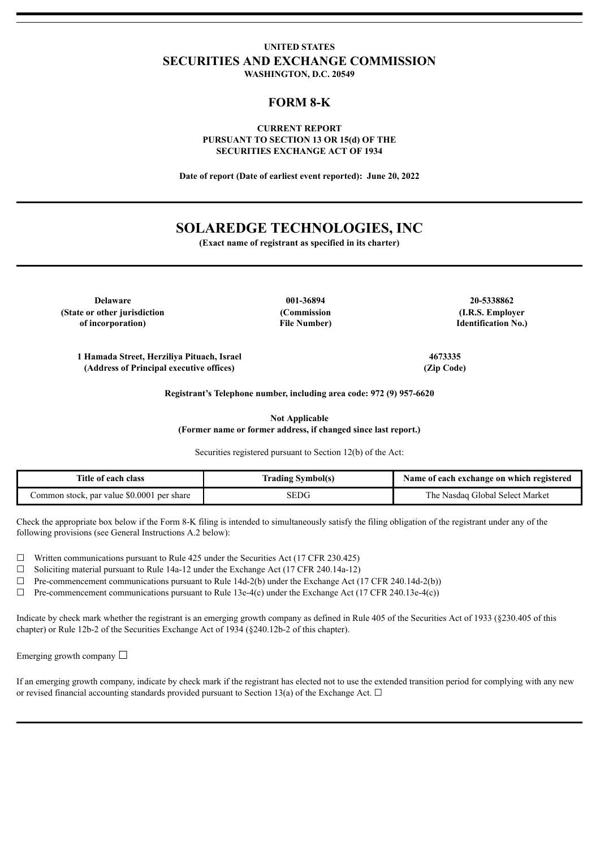# **UNITED STATES SECURITIES AND EXCHANGE COMMISSION WASHINGTON, D.C. 20549**

# **FORM 8-K**

## **CURRENT REPORT PURSUANT TO SECTION 13 OR 15(d) OF THE SECURITIES EXCHANGE ACT OF 1934**

**Date of report (Date of earliest event reported): June 20, 2022**

# **SOLAREDGE TECHNOLOGIES, INC**

**(Exact name of registrant as specified in its charter)**

**Delaware 001-36894 20-5338862 (State or other jurisdiction of incorporation)**

**(Commission File Number)**

**(I.R.S. Employer Identification No.)**

**1 Hamada Street, Herziliya Pituach, Israel 4673335 (Address of Principal executive offices) (Zip Code)**

**Registrant's Telephone number, including area code: 972 (9) 957-6620**

**Not Applicable (Former name or former address, if changed since last report.)**

Securities registered pursuant to Section 12(b) of the Act:

| Title of each class                        | <b>Trading Symbol(s)</b> | Name of each exchange on which registered |
|--------------------------------------------|--------------------------|-------------------------------------------|
| Common stock, par value \$0.0001 per share | SEDG                     | The Nasdaq Global Select Market           |

Check the appropriate box below if the Form 8-K filing is intended to simultaneously satisfy the filing obligation of the registrant under any of the following provisions (see General Instructions A.2 below):

 $\Box$  Written communications pursuant to Rule 425 under the Securities Act (17 CFR 230.425)

☐ Soliciting material pursuant to Rule 14a-12 under the Exchange Act (17 CFR 240.14a-12)

 $\Box$  Pre-commencement communications pursuant to Rule 14d-2(b) under the Exchange Act (17 CFR 240.14d-2(b))

 $\Box$  Pre-commencement communications pursuant to Rule 13e-4(c) under the Exchange Act (17 CFR 240.13e-4(c))

Indicate by check mark whether the registrant is an emerging growth company as defined in Rule 405 of the Securities Act of 1933 (§230.405 of this chapter) or Rule 12b-2 of the Securities Exchange Act of 1934 (§240.12b-2 of this chapter).

Emerging growth company  $\Box$ 

If an emerging growth company, indicate by check mark if the registrant has elected not to use the extended transition period for complying with any new or revised financial accounting standards provided pursuant to Section 13(a) of the Exchange Act.  $\Box$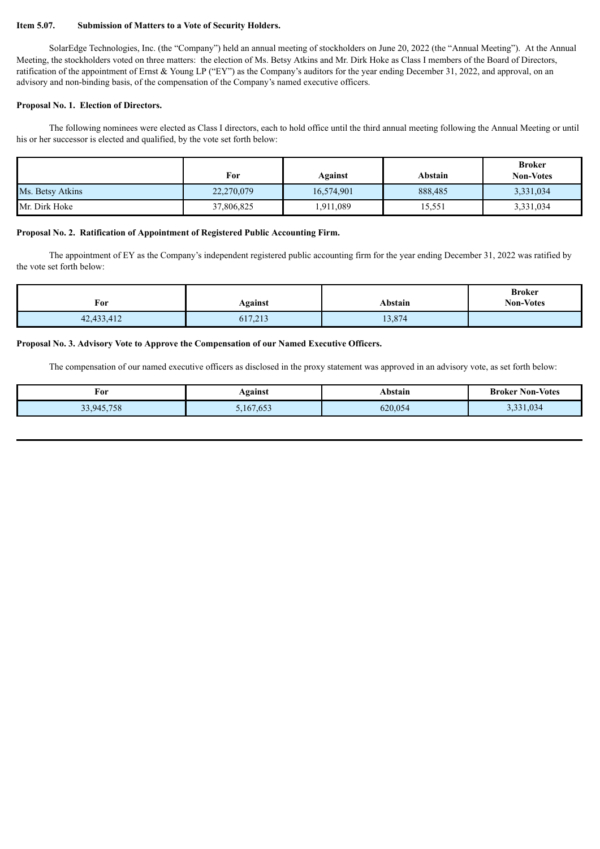#### **Item 5.07. Submission of Matters to a Vote of Security Holders.**

SolarEdge Technologies, Inc. (the "Company") held an annual meeting of stockholders on June 20, 2022 (the "Annual Meeting"). At the Annual Meeting, the stockholders voted on three matters: the election of Ms. Betsy Atkins and Mr. Dirk Hoke as Class I members of the Board of Directors, ratification of the appointment of Ernst & Young LP ("EY") as the Company's auditors for the year ending December 31, 2022, and approval, on an advisory and non-binding basis, of the compensation of the Company's named executive officers.

## **Proposal No. 1. Election of Directors.**

The following nominees were elected as Class I directors, each to hold office until the third annual meeting following the Annual Meeting or until his or her successor is elected and qualified, by the vote set forth below:

|                  | For        | Against    | Abstain | <b>Broker</b><br><b>Non-Votes</b> |
|------------------|------------|------------|---------|-----------------------------------|
| Ms. Betsy Atkins | 22,270,079 | 16,574,901 | 888,485 | 3,331,034                         |
| Mr. Dirk Hoke    | 37,806,825 | 1,911,089  | 15,551  | 3,331,034                         |

## **Proposal No. 2. Ratification of Appointment of Registered Public Accounting Firm.**

The appointment of EY as the Company's independent registered public accounting firm for the year ending December 31, 2022 was ratified by the vote set forth below:

| For        | Against | Abstain | <b>Broker</b><br><b>Non-Votes</b> |
|------------|---------|---------|-----------------------------------|
| 42,433,412 | 617,213 | 13,874  |                                   |

#### **Proposal No. 3. Advisory Vote to Approve the Compensation of our Named Executive Officers.**

The compensation of our named executive officers as disclosed in the proxy statement was approved in an advisory vote, as set forth below:

| For        | Against   | Abstain | <b>Broker Non-Votes</b> |
|------------|-----------|---------|-------------------------|
| 33,945,758 | 5,167,653 | 620,054 | 3,331,034               |